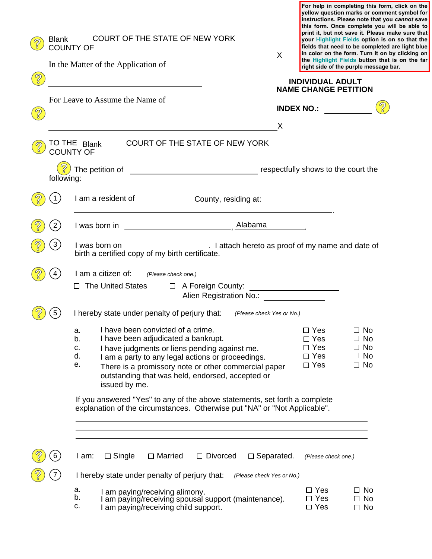| <b>Blank</b>   | <b>COURT OF THE STATE OF NEW YORK</b><br><b>COUNTY OF</b><br>In the Matter of the Application of                                                                                                                                                                                                                                          | X                 |                                                                             | For help in completing this form, click on the<br>yellow question marks or comment symbol for<br>instructions. Please note that you cannot save<br>this form. Once complete you will be able to<br>print it, but not save it. Please make sure that<br>your Highlight Fields option is on so that the<br>fields that need to be completed are light blue<br>in color on the form. Turn it on by clicking on<br>the Highlight Fields button that is on the far |  |
|----------------|-------------------------------------------------------------------------------------------------------------------------------------------------------------------------------------------------------------------------------------------------------------------------------------------------------------------------------------------|-------------------|-----------------------------------------------------------------------------|---------------------------------------------------------------------------------------------------------------------------------------------------------------------------------------------------------------------------------------------------------------------------------------------------------------------------------------------------------------------------------------------------------------------------------------------------------------|--|
| $\mathcal{D}$  |                                                                                                                                                                                                                                                                                                                                           |                   |                                                                             | right side of the purple message bar.                                                                                                                                                                                                                                                                                                                                                                                                                         |  |
| 2              | For Leave to Assume the Name of<br><u> 1989 - Johann Barbara, martxa alemaniar arg</u>                                                                                                                                                                                                                                                    | X                 | <b>INDIVIDUAL ADULT</b><br><b>NAME CHANGE PETITION</b><br><b>INDEX NO.:</b> |                                                                                                                                                                                                                                                                                                                                                                                                                                                               |  |
|                | <b>COURT OF THE STATE OF NEW YORK</b><br>TO THE Blank<br><b>COUNTY OF</b>                                                                                                                                                                                                                                                                 |                   |                                                                             |                                                                                                                                                                                                                                                                                                                                                                                                                                                               |  |
| following:     |                                                                                                                                                                                                                                                                                                                                           |                   |                                                                             |                                                                                                                                                                                                                                                                                                                                                                                                                                                               |  |
|                | I am a resident of County, residing at:                                                                                                                                                                                                                                                                                                   |                   |                                                                             |                                                                                                                                                                                                                                                                                                                                                                                                                                                               |  |
| $\overline{2}$ |                                                                                                                                                                                                                                                                                                                                           |                   |                                                                             |                                                                                                                                                                                                                                                                                                                                                                                                                                                               |  |
| 3              | I was born on ______________________. I attach hereto as proof of my name and date of<br>birth a certified copy of my birth certificate.                                                                                                                                                                                                  |                   |                                                                             |                                                                                                                                                                                                                                                                                                                                                                                                                                                               |  |
|                | I am a citizen of:<br>(Please check one.)<br>$\Box$ The United States<br>$\Box$ A Foreign County:<br>Alien Registration No.:                                                                                                                                                                                                              |                   | <u> 1980 - Johann Barbara, martin basa</u>                                  |                                                                                                                                                                                                                                                                                                                                                                                                                                                               |  |
| 5 <sub>2</sub> | I hereby state under penalty of perjury that:<br>(Please check Yes or No.)                                                                                                                                                                                                                                                                |                   |                                                                             |                                                                                                                                                                                                                                                                                                                                                                                                                                                               |  |
|                | I have been convicted of a crime.<br>a.<br>b.<br>I have been adjudicated a bankrupt.<br>c.<br>I have judgments or liens pending against me.<br>d.<br>I am a party to any legal actions or proceedings.<br>е.<br>There is a promissory note or other commercial paper<br>outstanding that was held, endorsed, accepted or<br>issued by me. |                   | $\Box$ Yes<br>$\Box$ Yes<br>$\Box$ Yes<br>$\Box$ Yes<br>$\Box$ Yes          | $\Box$ No<br>$\Box$ No<br>$\Box$ No<br>$\Box$ No<br>$\Box$ No                                                                                                                                                                                                                                                                                                                                                                                                 |  |
|                | If you answered "Yes" to any of the above statements, set forth a complete<br>explanation of the circumstances. Otherwise put "NA" or "Not Applicable".                                                                                                                                                                                   |                   |                                                                             |                                                                                                                                                                                                                                                                                                                                                                                                                                                               |  |
| 6              | $\Box$ Single<br>$\Box$ Married<br>$\Box$ Divorced<br>I am:                                                                                                                                                                                                                                                                               | $\Box$ Separated. | (Please check one.)                                                         |                                                                                                                                                                                                                                                                                                                                                                                                                                                               |  |
|                | I hereby state under penalty of perjury that:<br>(Please check Yes or No.)                                                                                                                                                                                                                                                                |                   |                                                                             |                                                                                                                                                                                                                                                                                                                                                                                                                                                               |  |
|                | a.<br>I am paying/receiving alimony.<br>b.<br>I am paying/receiving spousal support (maintenance).<br>c.<br>I am paying/receiving child support.                                                                                                                                                                                          |                   | $\Box$ Yes<br>$\Box$ Yes<br>$\square$ Yes                                   | $\Box$ No<br>$\Box$ No<br>$\Box$ No                                                                                                                                                                                                                                                                                                                                                                                                                           |  |